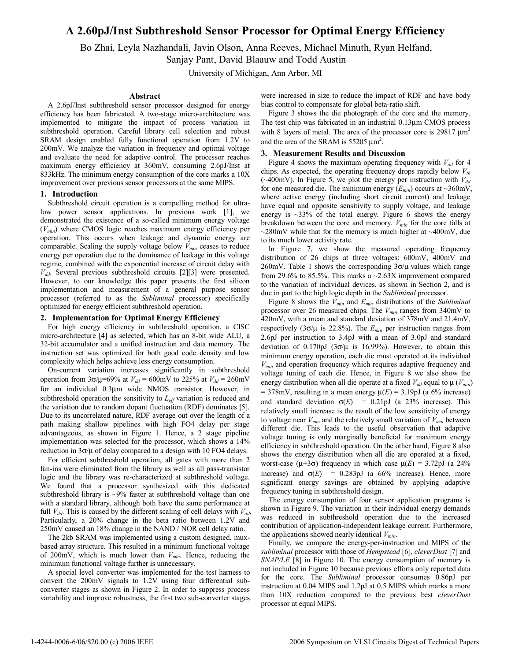# **A 2.60pJ/Inst Subthreshold Sensor Processor for Optimal Energy Efficiency**

Bo Zhai, Leyla Nazhandali, Javin Olson, Anna Reeves, Michael Minuth, Ryan Helfand, Sanjay Pant, David Blaauw and Todd Austin

University of Michigan, Ann Arbor, MI

#### **Abstract**

A 2.6pJ/Inst subthreshold sensor processor designed for energy efficiency has been fabricated. A two-stage micro-architecture was implemented to mitigate the impact of process variation in subthreshold operation. Careful library cell selection and robust SRAM design enabled fully functional operation from 1.2V to 200mV. We analyze the variation in frequency and optimal voltage and evaluate the need for adaptive control. The processor reaches maximum energy efficiency at 360mV, consuming 2.6pJ/Inst at 833kHz. The minimum energy consumption of the core marks a 10X improvement over previous sensor processors at the same MIPS.

### **1. Introduction**

Subthreshold circuit operation is a compelling method for ultralow power sensor applications. In previous work [1], we demonstrated the existence of a so-called minimum energy voltage (*Vmin*) where CMOS logic reaches maximum energy efficiency per operation. This occurs when leakage and dynamic energy are comparable. Scaling the supply voltage below  $V_{min}$  ceases to reduce energy per operation due to the dominance of leakage in this voltage regime, combined with the exponential increase of circuit delay with  $V_{dd}$ . Several previous subthreshold circuits [2][3] were presented. However, to our knowledge this paper presents the first silicon implementation and measurement of a general purpose sensor processor (referred to as the *Subliminal* processor) specifically optimized for energy efficient subthreshold operation.

## **2. Implementation for Optimal Energy Efficiency**

For high energy efficiency in subthreshold operation, a CISC micro-architecture [4] as selected, which has an 8-bit wide ALU, a 32-bit accumulator and a unified instruction and data memory. The instruction set was optimized for both good code density and low complexity which helps achieve less energy consumption.

On-current variation increases significantly in subthreshold operation from 3 $\sigma/\mu$ =69% at *V*<sub>dd</sub> = 600mV to 225% at *V*<sub>dd</sub> = 260mV for an individual 0.3µm wide NMOS transistor. However, in subthreshold operation the sensitivity to  $L_{\text{eff}}$  variation is reduced and the variation due to random dopant fluctuation (RDF) dominates [5]. Due to its uncorrelated nature, RDF average out over the length of a path making shallow pipelines with high FO4 delay per stage advantageous, as shown in Figure 1. Hence, a 2 stage pipeline implementation was selected for the processor, which shows a 14% reduction in  $3\sigma/\mu$  of delay compared to a design with 10 FO4 delays.

For efficient subthreshold operation, all gates with more than 2 fan-ins were eliminated from the library as well as all pass-transistor logic and the library was re-characterized at subthreshold voltage. We found that a processor synthesized with this dedicated subthreshold library is ~9% faster at subthreshold voltage than one with a standard library, although both have the same performance at full  $V_{dd}$ . This is caused by the different scaling of cell delays with  $V_{dd}$ . Particularly, a 20% change in the beta ratio between 1.2V and 250mV caused an 18% change in the NAND / NOR cell delay ratio.

The 2kb SRAM was implemented using a custom designed, muxbased array structure. This resulted in a minimum functional voltage of 200mV, which is much lower than  $V_{min}$ . Hence, reducing the minimum functional voltage further is unnecessary.

A special level converter was implemented for the test harness to convert the 200mV signals to 1.2V using four differential subconverter stages as shown in Figure 2. In order to suppress process variability and improve robustness, the first two sub-converter stages were increased in size to reduce the impact of RDF and have body bias control to compensate for global beta-ratio shift.

Figure 3 shows the die photograph of the core and the memory. The test chip was fabricated in an industrial 0.13µm CMOS process with 8 layers of metal. The area of the processor core is 29817  $\mu$ m<sup>2</sup> and the area of the SRAM is 55205  $\mu$ m<sup>2</sup>.

#### **3. Measurement Results and Discussion**

Figure 4 shows the maximum operating frequency with  $V_{dd}$  for 4 chips. As expected, the operating frequency drops rapidly below  $V_{th}$ ( $\sim$ 400mV). In Figure 5, we plot the energy per instruction with  $V_{dd}$ for one measured die. The minimum energy  $(E_{min})$  occurs at ~360mV, where active energy (including short circuit current) and leakage have equal and opposite sensitivity to supply voltage, and leakage energy is  $\sim$ 33% of the total energy. Figure 6 shows the energy breakdown between the core and memory. *Vmin* for the core falls at  $\sim$ 280mV while that for the memory is much higher at  $\sim$ 400mV, due to its much lower activity rate.

In Figure 7, we show the measured operating frequency distribution of 26 chips at three voltages: 600mV, 400mV and 260mV. Table 1 shows the corresponding  $3\sigma/\mu$  values which range from 29.6% to 85.5%. This marks a  $\sim$  2.63X improvement compared to the variation of individual devices, as shown in Section 2, and is due in part to the high logic depth in the *Subliminal* processor.

Figure 8 shows the *Vmin* and *Emin* distributions of the *Subliminal* processor over 26 measured chips. The *Vmin* ranges from 340mV to 420mV, with a mean and standard deviation of 378mV and 21.4mV, respectively (3 $\sigma/\mu$  is 22.8%). The  $E_{min}$  per instruction ranges from 2.6pJ per instruction to 3.4pJ with a mean of 3.0pJ and standard deviation of 0.170pJ ( $3\sigma/\mu$  is 16.99%). However, to obtain this minimum energy operation, each die must operated at its individual *Vmin* and operation frequency which requires adaptive frequency and voltage tuning of each die. Hence, in Figure 8 we also show the energy distribution when all die operate at a fixed  $V_{dd}$  equal to  $\mu$  ( $V_{min}$ )  $= 378$ mV, resulting in a mean energy  $\mu(E) = 3.19$ pJ (a 6% increase) and standard deviation  $\sigma(E)$  = 0.21pJ (a 23% increase). This relatively small increase is the result of the low sensitivity of energy to voltage near  $V_{min}$  and the relatively small variation of  $V_{min}$  between different die. This leads to the useful observation that adaptive voltage tuning is only marginally beneficial for maximum energy efficiency in subthreshold operation. On the other hand, Figure 8 also shows the energy distribution when all die are operated at a fixed, worst-case ( $\mu$ +3 $\sigma$ ) frequency in which case  $\mu$ (*E*) = 3.72pJ (a 24% increase) and  $\sigma(E)$  = 0.283pJ (a 66% increase). Hence, more significant energy savings are obtained by applying adaptive frequency tuning in subthreshold design.

The energy consumption of four sensor application programs is shown in Figure 9. The variation in their individual energy demands was reduced in subthreshold operation due to the increased contribution of application-independent leakage current. Furthermore, the applications showed nearly identical *Vmin*.

Finally, we compare the energy-per-instruction and MIPS of the *subliminal* processor with those of *Hempstead* [6], *cleverDust* [7] and *SNAP/LE* [8] in Figure 10. The energy consumption of memory is not included in Figure 10 because previous efforts only reported data for the core. The *Subliminal* processor consumes 0.86pJ per instruction at 0.04 MIPS and 1.2pJ at 0.5 MIPS which marks a more than 10X reduction compared to the previous best *cleverDust* processor at equal MIPS.